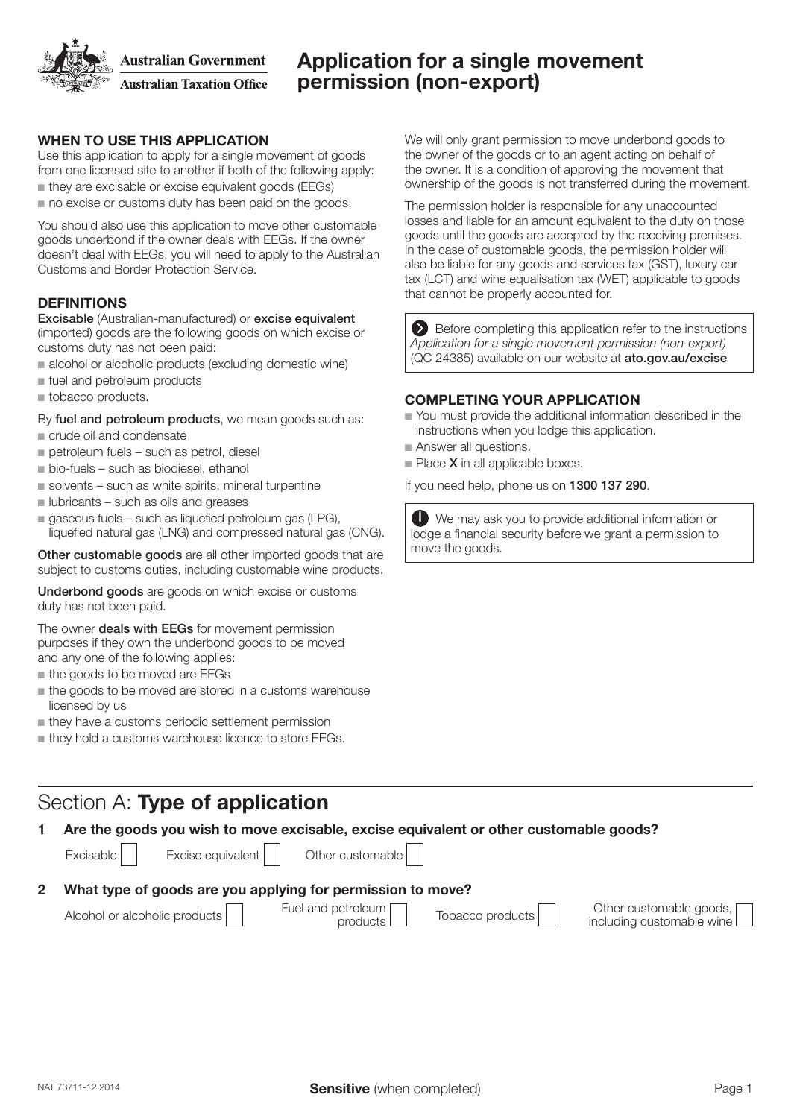**Australian Government** 

**Australian Taxation Office** 

# Application for a single movement permission (non-export)

## WHEN TO USE THIS APPLICATION

Use this application to apply for a single movement of goods from one licensed site to another if both of the following apply:

- $\blacksquare$  they are excisable or excise equivalent goods (EEGs)
- $\blacksquare$  no excise or customs duty has been paid on the goods.

You should also use this application to move other customable goods underbond if the owner deals with EEGs. If the owner doesn't deal with EEGs, you will need to apply to the Australian Customs and Border Protection Service.

## **DEFINITIONS**

Excisable (Australian-manufactured) or excise equivalent (imported) goods are the following goods on which excise or customs duty has not been paid:

- $\blacksquare$  alcohol or alcoholic products (excluding domestic wine)
- $\blacksquare$  fuel and petroleum products
- $\blacksquare$  tobacco products.

By fuel and petroleum products, we mean goods such as:

#### $\blacksquare$  crude oil and condensate

- $p$  petroleum fuels such as petrol, diesel
- $\blacksquare$  bio-fuels such as biodiesel, ethanol
- $\blacksquare$  solvents such as white spirits, mineral turpentine
- $\blacksquare$  lubricants such as oils and greases
- $\blacksquare$  gaseous fuels such as liquefied petroleum gas (LPG), liquefied natural gas (LNG) and compressed natural gas (CNG).

Other customable goods are all other imported goods that are subject to customs duties, including customable wine products.

Underbond goods are goods on which excise or customs duty has not been paid.

The owner **deals with EEGs** for movement permission purposes if they own the underbond goods to be moved and any one of the following applies:

- $n$  the goods to be moved are EEGs
- $\blacksquare$  the goods to be moved are stored in a customs warehouse licensed by us
- $\blacksquare$  they have a customs periodic settlement permission
- $\blacksquare$  thev hold a customs warehouse licence to store EEGs.

# Section A: Type of application

1 Are the goods you wish to move excisable, excise equivalent or other customable goods?

 $Excisable$   $\vert$  Excise equivalent  $\vert$  Other customable 2 What type of goods are you applying for permission to move? Alcohol or alcoholic products Fuel and petroleum<br>products products Tobacco products Other customable goods, including customable wine

We will only grant permission to move underbond goods to the owner of the goods or to an agent acting on behalf of the owner. It is a condition of approving the movement that ownership of the goods is not transferred during the movement.

The permission holder is responsible for any unaccounted losses and liable for an amount equivalent to the duty on those goods until the goods are accepted by the receiving premises. In the case of customable goods, the permission holder will also be liable for any goods and services tax (GST), luxury car tax (LCT) and wine equalisation tax (WET) applicable to goods that cannot be properly accounted for.

Before completing this application refer to the instructions *Application for a single movement permission (non-export)* (QC 24385) available on our website at ato.gov.au/excise

#### COMPLETING YOUR APPLICATION

- Nou must provide the additional information described in the instructions when you lodge this application.
- Answer all questions.
- $\blacksquare$  Place **X** in all applicable boxes.

If you need help, phone us on 1300 137 290.

O We may ask you to provide additional information or lodge a financial security before we grant a permission to move the goods.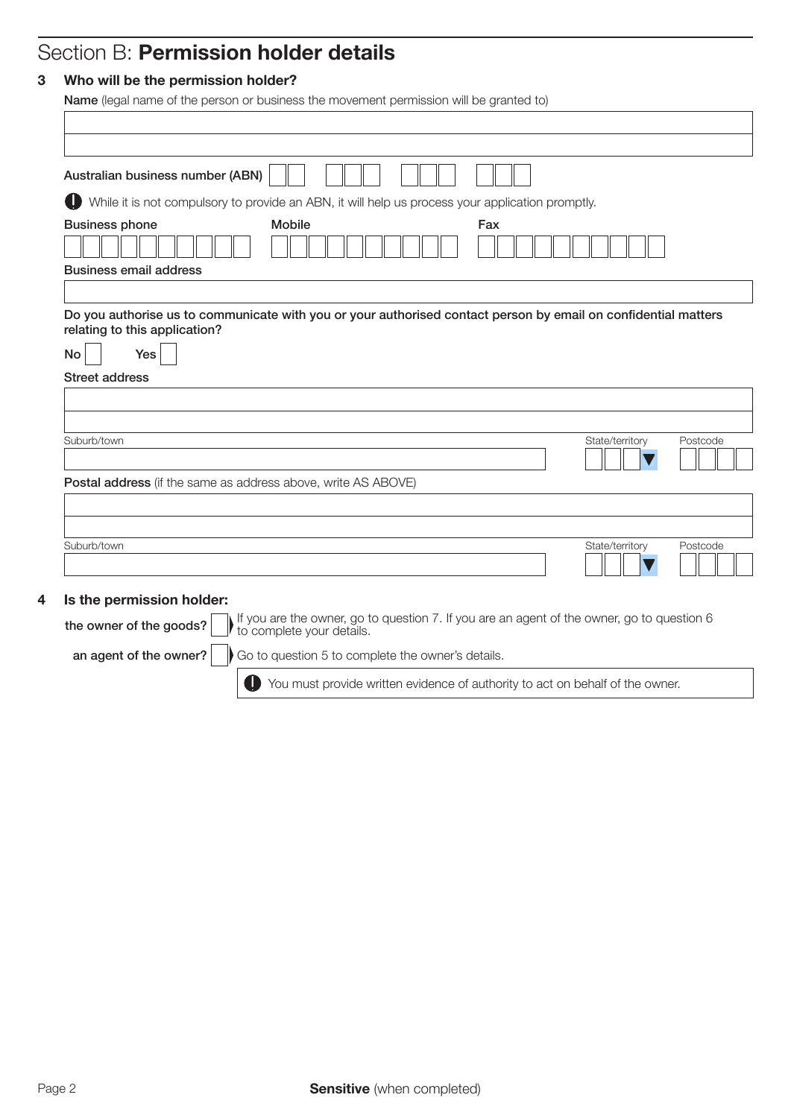# Section B: Permission holder details

## 3 Who will be the permission holder?

Name (legal name of the person or business the movement permission will be granted to)

| Australian business number (ABN)                              |                                                                                                                |     |                 |          |
|---------------------------------------------------------------|----------------------------------------------------------------------------------------------------------------|-----|-----------------|----------|
| ID                                                            | While it is not compulsory to provide an ABN, it will help us process your application promptly.               |     |                 |          |
| <b>Business phone</b><br><b>Business email address</b>        | <b>Mobile</b>                                                                                                  | Fax |                 |          |
|                                                               | Do you authorise us to communicate with you or your authorised contact person by email on confidential matters |     |                 |          |
| relating to this application?                                 |                                                                                                                |     |                 |          |
| No<br>Yes                                                     |                                                                                                                |     |                 |          |
| <b>Street address</b>                                         |                                                                                                                |     |                 |          |
|                                                               |                                                                                                                |     |                 |          |
|                                                               |                                                                                                                |     |                 |          |
| Suburb/town                                                   |                                                                                                                |     | State/territory | Postcode |
| Postal address (if the same as address above, write AS ABOVE) |                                                                                                                |     |                 |          |
|                                                               |                                                                                                                |     |                 |          |
|                                                               |                                                                                                                |     |                 |          |
| Suburb/town                                                   |                                                                                                                |     | State/territory | Postcode |
|                                                               |                                                                                                                |     |                 |          |

You must provide written evidence of authority to act on behalf of the owner.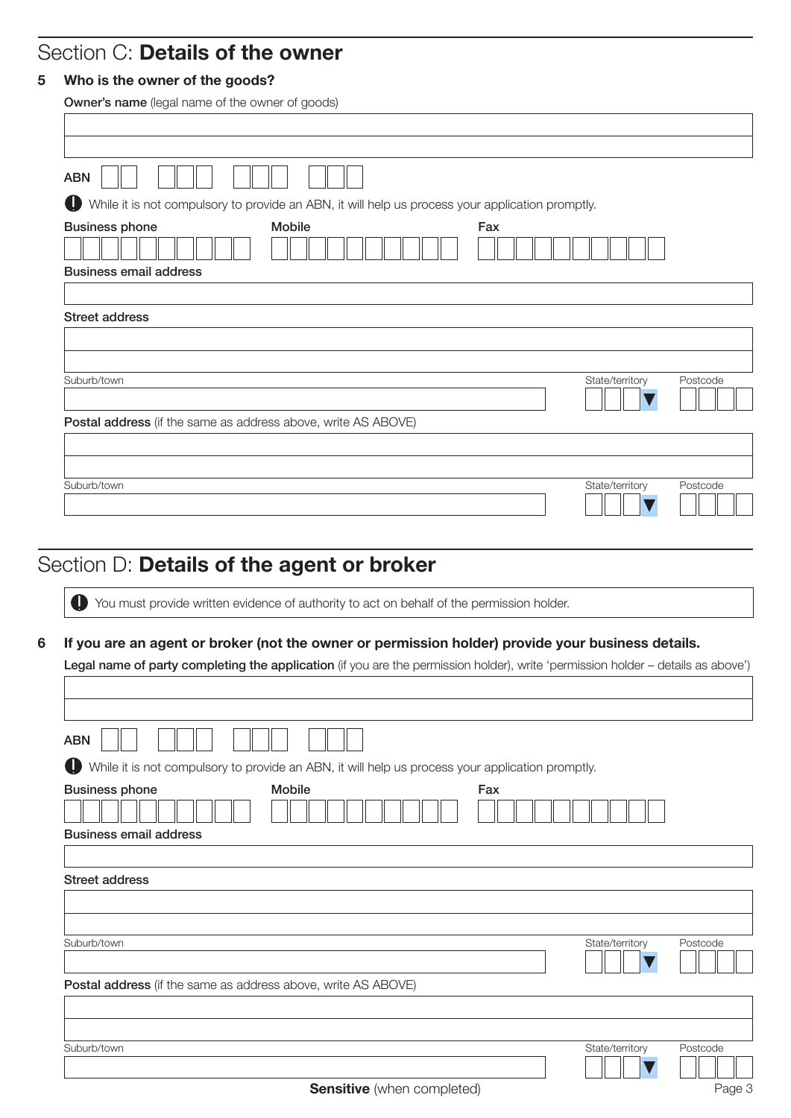## Section C: Details of the owner

## 5 Who is the owner of the goods?

| Owner's name (legal name of the owner of goods)                                                       |                 |          |
|-------------------------------------------------------------------------------------------------------|-----------------|----------|
|                                                                                                       |                 |          |
|                                                                                                       |                 |          |
| <b>ABN</b>                                                                                            |                 |          |
| O<br>While it is not compulsory to provide an ABN, it will help us process your application promptly. |                 |          |
| Mobile<br><b>Business phone</b><br>Fax<br><b>Business email address</b>                               |                 |          |
|                                                                                                       |                 |          |
| <b>Street address</b>                                                                                 |                 |          |
|                                                                                                       |                 |          |
|                                                                                                       |                 |          |
| Suburb/town                                                                                           | State/territory | Postcode |
| Postal address (if the same as address above, write AS ABOVE)                                         |                 |          |
|                                                                                                       |                 |          |
|                                                                                                       |                 |          |
| Suburb/town                                                                                           | State/territory | Postcode |
|                                                                                                       |                 |          |

# Section D: Details of the agent or broker

Г

You must provide written evidence of authority to act on behalf of the permission holder.

#### 6 If you are an agent or broker (not the owner or permission holder) provide your business details.

Legal name of party completing the application (if you are the permission holder), write 'permission holder - details as above')

| <b>ABN</b>                                                                                            |          |
|-------------------------------------------------------------------------------------------------------|----------|
| O<br>While it is not compulsory to provide an ABN, it will help us process your application promptly. |          |
| Mobile<br>Fax<br><b>Business phone</b>                                                                |          |
| <b>Business email address</b>                                                                         |          |
|                                                                                                       |          |
| Street address                                                                                        |          |
|                                                                                                       |          |
|                                                                                                       |          |
| Suburb/town<br>State/territory                                                                        | Postcode |
| Postal address (if the same as address above, write AS ABOVE)                                         |          |
|                                                                                                       |          |
|                                                                                                       |          |
| Suburb/town<br>State/territory                                                                        | Postcode |
| <b>Sensitive</b> (when completed)                                                                     | Page 3   |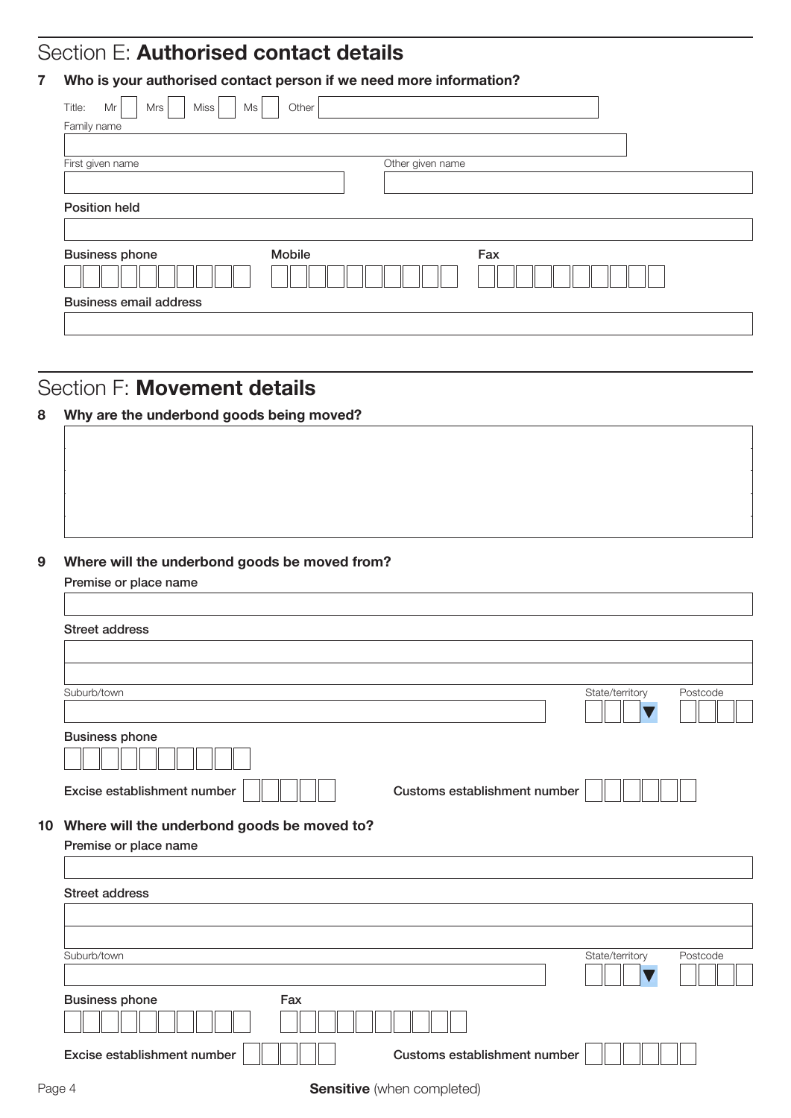# Section E: Authorised contact details

## 7 Who is your authorised contact person if we need more information?

| Miss<br>Title:<br>Ms<br>Mr<br>Mrs | Other            |     |
|-----------------------------------|------------------|-----|
| Family name                       |                  |     |
|                                   |                  |     |
| First given name                  | Other given name |     |
|                                   |                  |     |
| <b>Position held</b>              |                  |     |
| <b>Business phone</b>             | Mobile           | Fax |
|                                   |                  |     |
| <b>Business email address</b>     |                  |     |
|                                   |                  |     |

## Section F: Movement details

## 8 Why are the underbond goods being moved?

### 9 Where will the underbond goods be moved from?

Premise or place name

| <b>Street address</b>                          |                              |                 |          |
|------------------------------------------------|------------------------------|-----------------|----------|
|                                                |                              |                 |          |
|                                                |                              |                 |          |
| Suburb/town                                    |                              | State/territory | Postcode |
|                                                |                              |                 |          |
| <b>Business phone</b>                          |                              |                 |          |
|                                                |                              |                 |          |
| Excise establishment number                    | Customs establishment number |                 |          |
|                                                |                              |                 |          |
| 10 Where will the underbond goods be moved to? |                              |                 |          |
| Premise or place name                          |                              |                 |          |
|                                                |                              |                 |          |
| <b>Street address</b>                          |                              |                 |          |
|                                                |                              |                 |          |
|                                                |                              |                 |          |
| Suburb/town                                    |                              | State/territory | Postcode |
|                                                |                              |                 |          |
| <b>Business phone</b><br>Fax                   |                              |                 |          |
|                                                |                              |                 |          |
| Excise establishment number                    | Customs establishment number |                 |          |
|                                                |                              |                 |          |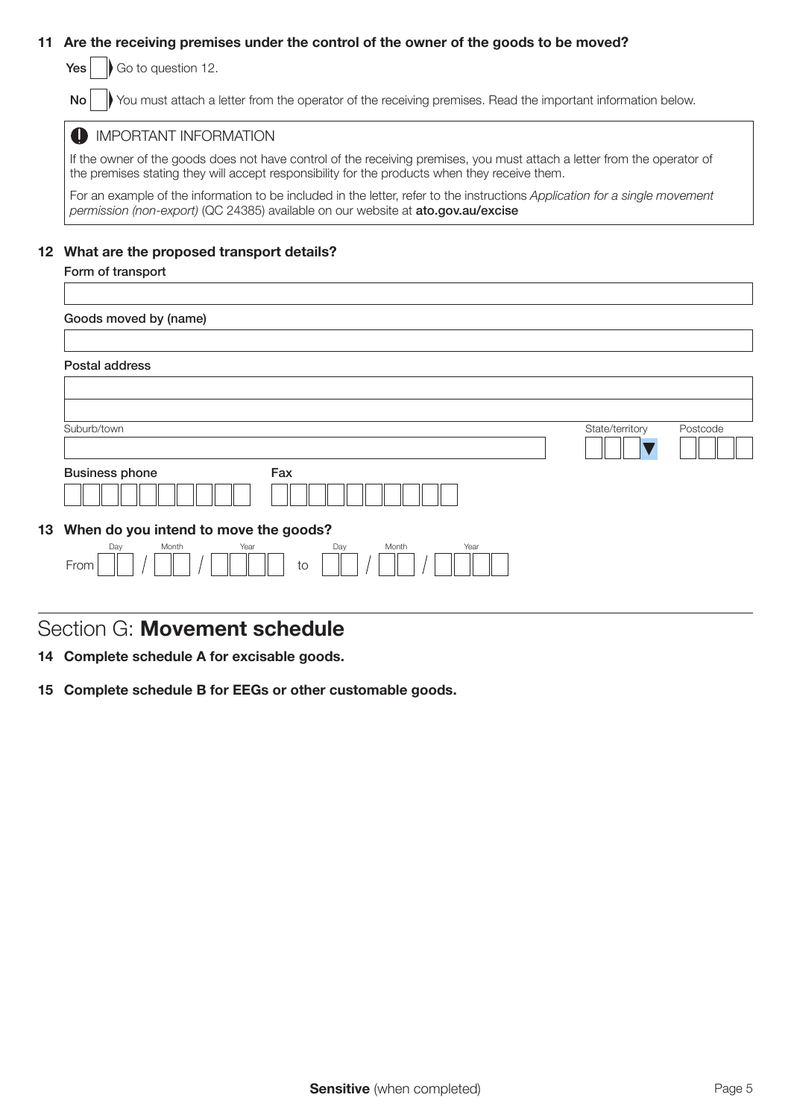### 11 Are the receiving premises under the control of the owner of the goods to be moved?

 $Yes |$  Go to question 12.

No **W** You must attach a letter from the operator of the receiving premises. Read the important information below.

#### **IMPORTANT INFORMATION**

If the owner of the goods does not have control of the receiving premises, you must attach a letter from the operator of the premises stating they will accept responsibility for the products when they receive them.

For an example of the information to be included in the letter, refer to the instructions *Application for a single movement permission (non-export)* (QC 24385) available on our website at ato.gov.au/excise

#### 12 What are the proposed transport details?

| Form of transport                            |                 |          |
|----------------------------------------------|-----------------|----------|
|                                              |                 |          |
| Goods moved by (name)                        |                 |          |
|                                              |                 |          |
| Postal address                               |                 |          |
|                                              |                 |          |
|                                              |                 |          |
| Suburb/town                                  | State/territory | Postcode |
|                                              |                 |          |
| <b>Business phone</b><br>Fax                 |                 |          |
|                                              |                 |          |
| 13 When do you intend to move the goods?     |                 |          |
| Day<br>Month<br>Year<br>Day<br>Month<br>Year |                 |          |
| From<br>to                                   |                 |          |

## Section G: Movement schedule

14 Complete schedule A for excisable goods.

15 Complete schedule B for EEGs or other customable goods.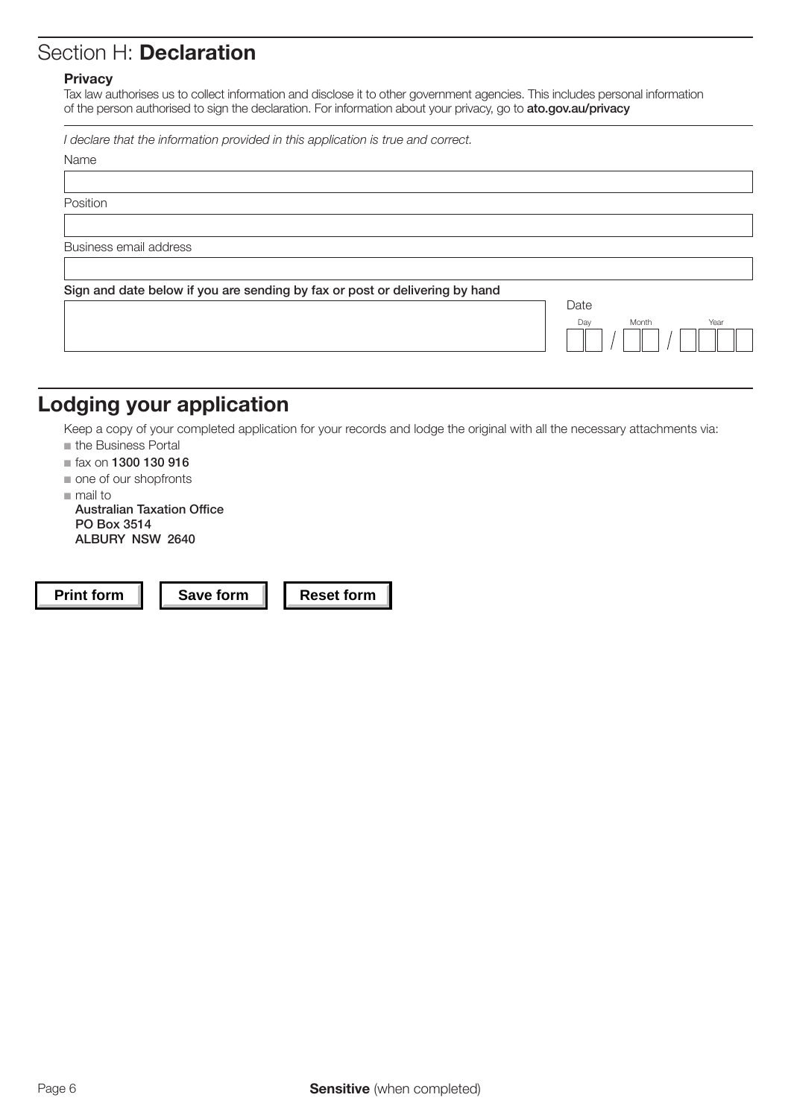# Section H: Declaration

#### **Privacy**

Tax law authorises us to collect information and disclose it to other government agencies. This includes personal information of the person authorised to sign the declaration. For information about your privacy, go to ato.gov.au/privacy

*I declare that the information provided in this application is true and correct.*

| Name                                                                        |                      |
|-----------------------------------------------------------------------------|----------------------|
|                                                                             |                      |
| Position                                                                    |                      |
|                                                                             |                      |
| Business email address                                                      |                      |
|                                                                             |                      |
| Sign and date below if you are sending by fax or post or delivering by hand |                      |
|                                                                             | Date                 |
|                                                                             | Year<br>Month<br>Day |
|                                                                             |                      |

# Lodging your application

Keep a copy of your completed application for your records and lodge the original with all the necessary attachments via:

- $n$  the Business Portal
- $\blacksquare$  fax on 1300 130 916
- $\blacksquare$  one of our shopfronts
- $m$ mail to

Australian Taxation Office PO Box 3514 ALBURY NSW 2640

**Print form | | Save form | | Reset form**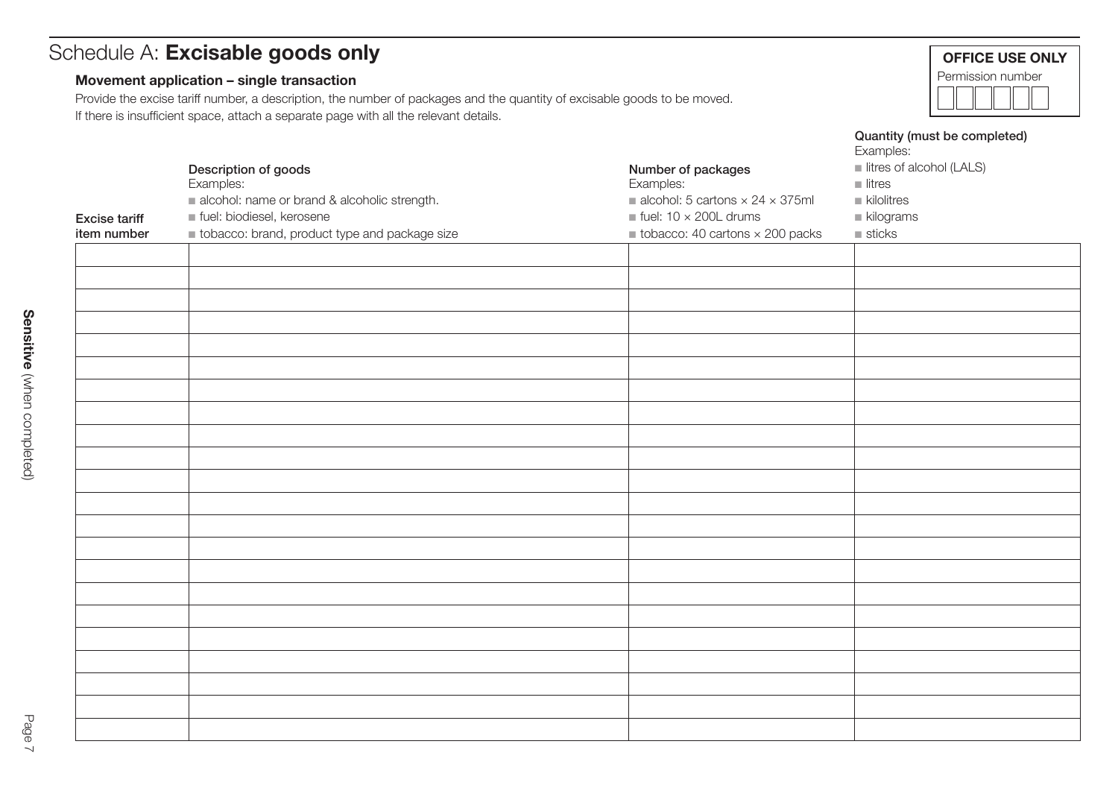# Schedule A: Excisable goods only

## Movement application – single transaction

Provide the excise tariff number, a description, the number of packages and the quantity of excisable goods to be moved. If there is insufficient space, attach a separate page with all the relevant details.

|                      |                                               |                                                              | Examples:                 |
|----------------------|-----------------------------------------------|--------------------------------------------------------------|---------------------------|
|                      | Description of goods                          | Number of packages                                           | litres of alcohol (LALS)  |
|                      | Examples:                                     | Examples:                                                    | $\blacksquare$ litres     |
|                      | alcohol: name or brand & alcoholic strength.  | $\blacksquare$ alcohol: 5 cartons $\times$ 24 $\times$ 375ml | $\blacksquare$ kilolitres |
|                      |                                               | $\blacksquare$ fuel: 10 $\times$ 200L drums                  |                           |
| <b>Excise tariff</b> | tuel: biodiesel, kerosene                     |                                                              | $\blacksquare$ kilograms  |
| item number          | tobacco: brand, product type and package size | $\blacksquare$ tobacco: 40 cartons $\times$ 200 packs        | $\blacksquare$ sticks     |
|                      |                                               |                                                              |                           |
|                      |                                               |                                                              |                           |
|                      |                                               |                                                              |                           |
|                      |                                               |                                                              |                           |
|                      |                                               |                                                              |                           |
|                      |                                               |                                                              |                           |
|                      |                                               |                                                              |                           |
|                      |                                               |                                                              |                           |
|                      |                                               |                                                              |                           |
|                      |                                               |                                                              |                           |
|                      |                                               |                                                              |                           |
|                      |                                               |                                                              |                           |
|                      |                                               |                                                              |                           |
|                      |                                               |                                                              |                           |
|                      |                                               |                                                              |                           |
|                      |                                               |                                                              |                           |
|                      |                                               |                                                              |                           |
|                      |                                               |                                                              |                           |
|                      |                                               |                                                              |                           |
|                      |                                               |                                                              |                           |
|                      |                                               |                                                              |                           |
|                      |                                               |                                                              |                           |
|                      |                                               |                                                              |                           |
|                      |                                               |                                                              |                           |
|                      |                                               |                                                              |                           |
|                      |                                               |                                                              |                           |
|                      |                                               |                                                              |                           |
|                      |                                               |                                                              |                           |
|                      |                                               |                                                              |                           |
|                      |                                               |                                                              |                           |
|                      |                                               |                                                              |                           |
|                      |                                               |                                                              |                           |
|                      |                                               |                                                              |                           |

Quantity (must be completed)

OFFICE USE ONLY Permission number